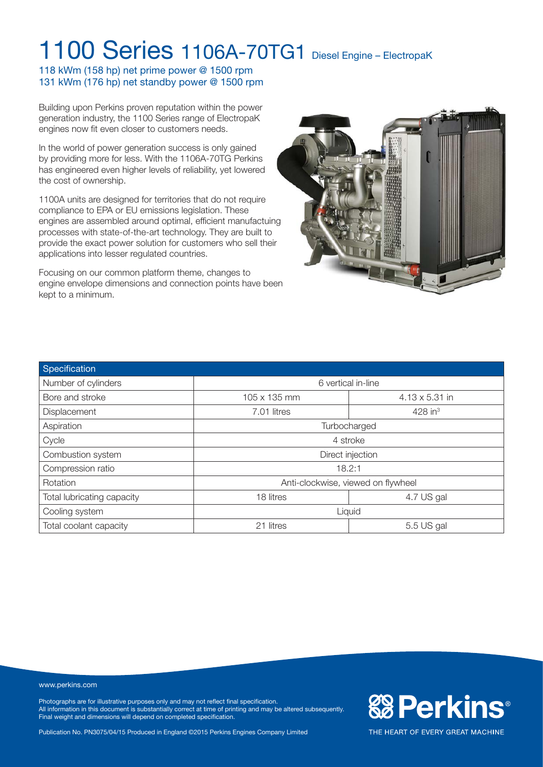118 kWm (158 hp) net prime power @ 1500 rpm 131 kWm (176 hp) net standby power @ 1500 rpm

Building upon Perkins proven reputation within the power generation industry, the 1100 Series range of ElectropaK engines now fit even closer to customers needs.

In the world of power generation success is only gained by providing more for less. With the 1106A-70TG Perkins has engineered even higher levels of reliability, yet lowered the cost of ownership.

1100A units are designed for territories that do not require compliance to EPA or EU emissions legislation. These engines are assembled around optimal, efficient manufactuing processes with state-of-the-art technology. They are built to provide the exact power solution for customers who sell their applications into lesser regulated countries.

Focusing on our common platform theme, changes to engine envelope dimensions and connection points have been kept to a minimum.



| Specification              |                                    |                       |  |  |  |
|----------------------------|------------------------------------|-----------------------|--|--|--|
| Number of cylinders        | 6 vertical in-line                 |                       |  |  |  |
| Bore and stroke            | 105 x 135 mm                       | $4.13 \times 5.31$ in |  |  |  |
| Displacement               | 7.01 litres                        | $428$ in <sup>3</sup> |  |  |  |
| Aspiration                 | Turbocharged                       |                       |  |  |  |
| Cycle                      | 4 stroke                           |                       |  |  |  |
| Combustion system          | Direct injection                   |                       |  |  |  |
| Compression ratio          | 18.2:1                             |                       |  |  |  |
| <b>Rotation</b>            | Anti-clockwise, viewed on flywheel |                       |  |  |  |
| Total lubricating capacity | 18 litres                          | 4.7 US gal            |  |  |  |
| Cooling system             | Liquid                             |                       |  |  |  |
| Total coolant capacity     | 21 litres                          | 5.5 US gal            |  |  |  |

#### www.perkins.com

Photographs are for illustrative purposes only and may not reflect final specification. All information in this document is substantially correct at time of printing and may be altered subsequently. Final weight and dimensions will depend on completed specification.

Publication No. PN3075/04/15 Produced in England ©2015 Perkins Engines Company Limited

**&BPerkins®**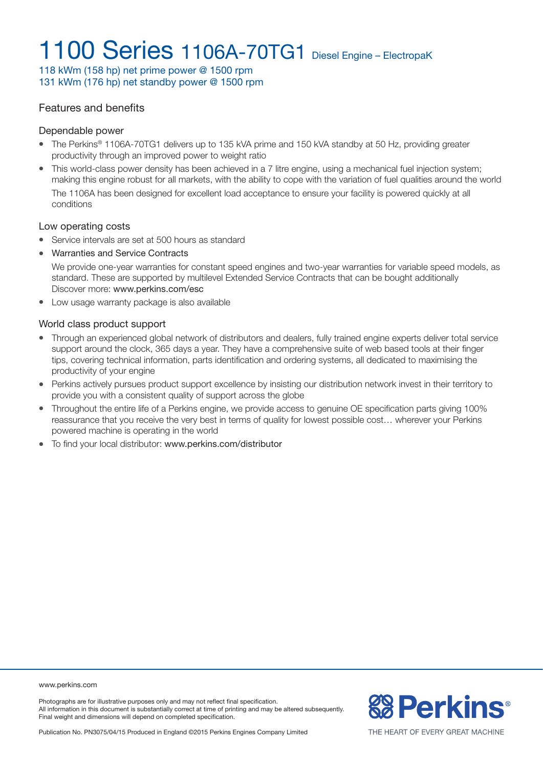118 kWm (158 hp) net prime power @ 1500 rpm 131 kWm (176 hp) net standby power @ 1500 rpm

### Features and benefits

#### Dependable power

- The Perkins® 1106A-70TG1 delivers up to 135 kVA prime and 150 kVA standby at 50 Hz, providing greater productivity through an improved power to weight ratio
- This world-class power density has been achieved in a 7 litre engine, using a mechanical fuel injection system; making this engine robust for all markets, with the ability to cope with the variation of fuel qualities around the world The 1106A has been designed for excellent load acceptance to ensure your facility is powered quickly at all conditions

#### Low operating costs

- Service intervals are set at 500 hours as standard
- Warranties and Service Contracts

We provide one-year warranties for constant speed engines and two-year warranties for variable speed models, as standard. These are supported by multilevel Extended Service Contracts that can be bought additionally Discover more: www.perkins.com/esc

• Low usage warranty package is also available

#### World class product support

- Through an experienced global network of distributors and dealers, fully trained engine experts deliver total service support around the clock, 365 days a year. They have a comprehensive suite of web based tools at their finger tips, covering technical information, parts identification and ordering systems, all dedicated to maximising the productivity of your engine
- Perkins actively pursues product support excellence by insisting our distribution network invest in their territory to provide you with a consistent quality of support across the globe
- <sup>l</sup> Throughout the entire life of a Perkins engine, we provide access to genuine OE specification parts giving 100% reassurance that you receive the very best in terms of quality for lowest possible cost… wherever your Perkins powered machine is operating in the world
- To find your local distributor: www.perkins.com/distributor

www.perkins.com

Photographs are for illustrative purposes only and may not reflect final specification. All information in this document is substantially correct at time of printing and may be altered subsequently. Final weight and dimensions will depend on completed specification.

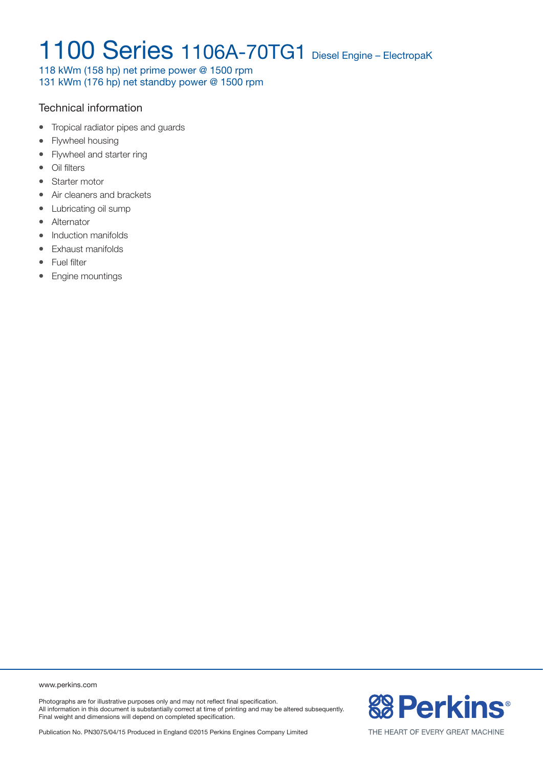118 kWm (158 hp) net prime power @ 1500 rpm 131 kWm (176 hp) net standby power @ 1500 rpm

### Technical information

- Tropical radiator pipes and quards
- Flywheel housing
- Flywheel and starter ring
- Oil filters
- Starter motor
- Air cleaners and brackets
- Lubricating oil sump
- Alternator
- Induction manifolds
- Exhaust manifolds
- Fuel filter
- Engine mountings

www.perkins.com

Photographs are for illustrative purposes only and may not reflect final specification. All information in this document is substantially correct at time of printing and may be altered subsequently. Final weight and dimensions will depend on completed specification.

Publication No. PN3075/04/15 Produced in England ©2015 Perkins Engines Company Limited

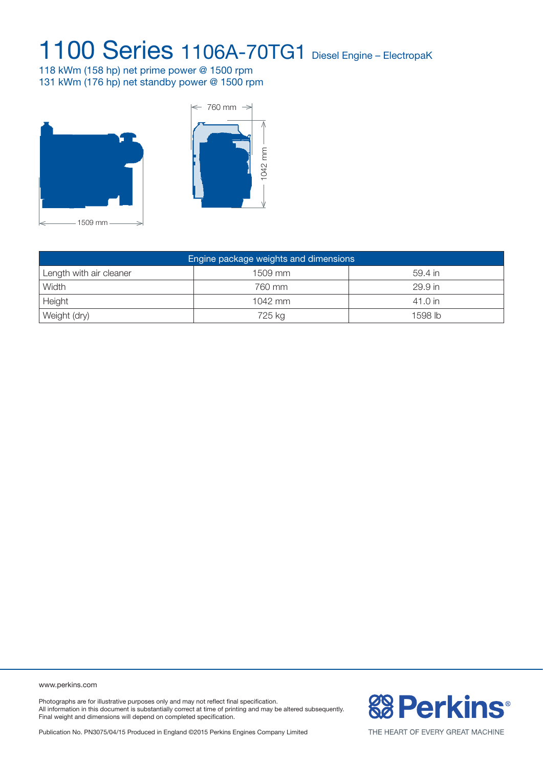118 kWm (158 hp) net prime power @ 1500 rpm 131 kWm (176 hp) net standby power @ 1500 rpm





| Engine package weights and dimensions |         |         |  |  |  |
|---------------------------------------|---------|---------|--|--|--|
| Length with air cleaner               | 1509 mm | 59.4 in |  |  |  |
| Width                                 | 760 mm  | 29.9 in |  |  |  |
| Height                                | 1042 mm | 41.0 in |  |  |  |
| Weight (dry)                          | 725 kg  | 1598 lb |  |  |  |

www.perkins.com

Photographs are for illustrative purposes only and may not reflect final specification. All information in this document is substantially correct at time of printing and may be altered subsequently. Final weight and dimensions will depend on completed specification.

Publication No. PN3075/04/15 Produced in England ©2015 Perkins Engines Company Limited